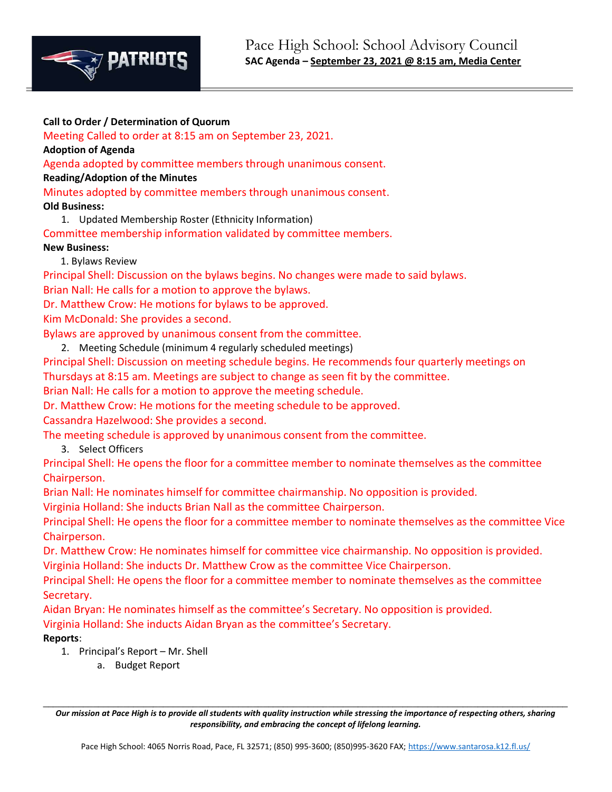

Call to Order / Determination of Quorum

**EXPATRICTS** 

Meeting Called to order at 8:15 am on September 23, 2021.

Adoption of Agenda

Agenda adopted by committee members through unanimous consent.

Reading/Adoption of the Minutes

Minutes adopted by committee members through unanimous consent.

Old Business:

1. Updated Membership Roster (Ethnicity Information)

Committee membership information validated by committee members. New Business:

1. Bylaws Review

Principal Shell: Discussion on the bylaws begins. No changes were made to said bylaws.

Brian Nall: He calls for a motion to approve the bylaws.

Dr. Matthew Crow: He motions for bylaws to be approved.

Kim McDonald: She provides a second.

Bylaws are approved by unanimous consent from the committee.

2. Meeting Schedule (minimum 4 regularly scheduled meetings)

Principal Shell: Discussion on meeting schedule begins. He recommends four quarterly meetings on Thursdays at 8:15 am. Meetings are subject to change as seen fit by the committee.

Brian Nall: He calls for a motion to approve the meeting schedule.

Dr. Matthew Crow: He motions for the meeting schedule to be approved.

Cassandra Hazelwood: She provides a second.

The meeting schedule is approved by unanimous consent from the committee.

3. Select Officers

Principal Shell: He opens the floor for a committee member to nominate themselves as the committee Chairperson.

Brian Nall: He nominates himself for committee chairmanship. No opposition is provided.

Virginia Holland: She inducts Brian Nall as the committee Chairperson.

Principal Shell: He opens the floor for a committee member to nominate themselves as the committee Vice Chairperson.

Dr. Matthew Crow: He nominates himself for committee vice chairmanship. No opposition is provided. Virginia Holland: She inducts Dr. Matthew Crow as the committee Vice Chairperson.

Principal Shell: He opens the floor for a committee member to nominate themselves as the committee Secretary.

Aidan Bryan: He nominates himself as the committee's Secretary. No opposition is provided. Virginia Holland: She inducts Aidan Bryan as the committee's Secretary.

Reports:

- 1. Principal's Report Mr. Shell
	- a. Budget Report

 $\mathcal{L}_\mathcal{L} = \{ \mathcal{L}_\mathcal{L} = \{ \mathcal{L}_\mathcal{L} = \{ \mathcal{L}_\mathcal{L} = \{ \mathcal{L}_\mathcal{L} = \{ \mathcal{L}_\mathcal{L} = \{ \mathcal{L}_\mathcal{L} = \{ \mathcal{L}_\mathcal{L} = \{ \mathcal{L}_\mathcal{L} = \{ \mathcal{L}_\mathcal{L} = \{ \mathcal{L}_\mathcal{L} = \{ \mathcal{L}_\mathcal{L} = \{ \mathcal{L}_\mathcal{L} = \{ \mathcal{L}_\mathcal{L} = \{ \mathcal{L}_\mathcal{$ Our mission at Pace High is to provide all students with quality instruction while stressing the importance of respecting others, sharing responsibility, and embracing the concept of lifelong learning.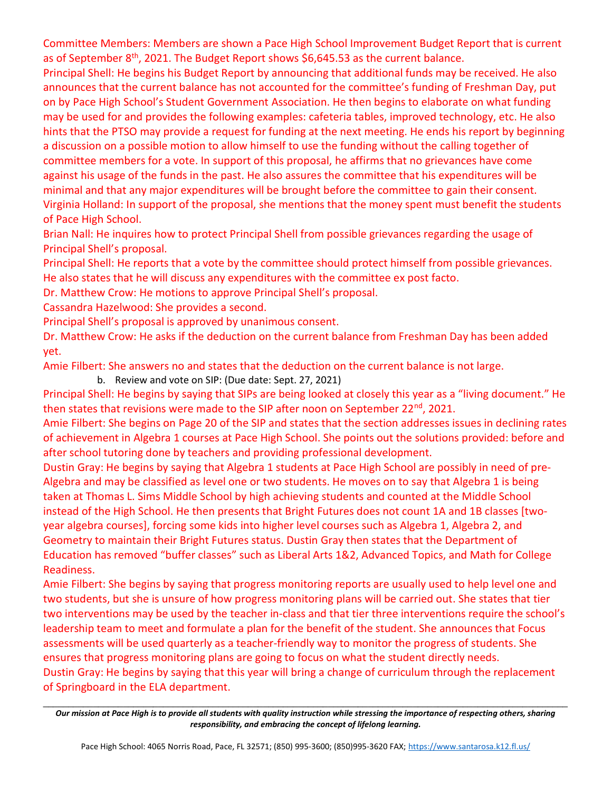Committee Members: Members are shown a Pace High School Improvement Budget Report that is current as of September  $8<sup>th</sup>$ , 2021. The Budget Report shows \$6,645.53 as the current balance.

Principal Shell: He begins his Budget Report by announcing that additional funds may be received. He also announces that the current balance has not accounted for the committee's funding of Freshman Day, put on by Pace High School's Student Government Association. He then begins to elaborate on what funding may be used for and provides the following examples: cafeteria tables, improved technology, etc. He also hints that the PTSO may provide a request for funding at the next meeting. He ends his report by beginning a discussion on a possible motion to allow himself to use the funding without the calling together of committee members for a vote. In support of this proposal, he affirms that no grievances have come against his usage of the funds in the past. He also assures the committee that his expenditures will be minimal and that any major expenditures will be brought before the committee to gain their consent. Virginia Holland: In support of the proposal, she mentions that the money spent must benefit the students of Pace High School.

Brian Nall: He inquires how to protect Principal Shell from possible grievances regarding the usage of Principal Shell's proposal.

Principal Shell: He reports that a vote by the committee should protect himself from possible grievances. He also states that he will discuss any expenditures with the committee ex post facto.

Dr. Matthew Crow: He motions to approve Principal Shell's proposal.

Cassandra Hazelwood: She provides a second.

Principal Shell's proposal is approved by unanimous consent.

Dr. Matthew Crow: He asks if the deduction on the current balance from Freshman Day has been added yet.

Amie Filbert: She answers no and states that the deduction on the current balance is not large.

b. Review and vote on SIP: (Due date: Sept. 27, 2021)

Principal Shell: He begins by saying that SIPs are being looked at closely this year as a "living document." He then states that revisions were made to the SIP after noon on September  $22^{nd}$ , 2021.

Amie Filbert: She begins on Page 20 of the SIP and states that the section addresses issues in declining rates of achievement in Algebra 1 courses at Pace High School. She points out the solutions provided: before and after school tutoring done by teachers and providing professional development.

Dustin Gray: He begins by saying that Algebra 1 students at Pace High School are possibly in need of pre-Algebra and may be classified as level one or two students. He moves on to say that Algebra 1 is being taken at Thomas L. Sims Middle School by high achieving students and counted at the Middle School instead of the High School. He then presents that Bright Futures does not count 1A and 1B classes [twoyear algebra courses], forcing some kids into higher level courses such as Algebra 1, Algebra 2, and Geometry to maintain their Bright Futures status. Dustin Gray then states that the Department of Education has removed "buffer classes" such as Liberal Arts 1&2, Advanced Topics, and Math for College Readiness.

Amie Filbert: She begins by saying that progress monitoring reports are usually used to help level one and two students, but she is unsure of how progress monitoring plans will be carried out. She states that tier two interventions may be used by the teacher in-class and that tier three interventions require the school's leadership team to meet and formulate a plan for the benefit of the student. She announces that Focus assessments will be used quarterly as a teacher-friendly way to monitor the progress of students. She ensures that progress monitoring plans are going to focus on what the student directly needs. Dustin Gray: He begins by saying that this year will bring a change of curriculum through the replacement of Springboard in the ELA department.

 $\mathcal{L}_\mathcal{L} = \{ \mathcal{L}_\mathcal{L} = \{ \mathcal{L}_\mathcal{L} = \{ \mathcal{L}_\mathcal{L} = \{ \mathcal{L}_\mathcal{L} = \{ \mathcal{L}_\mathcal{L} = \{ \mathcal{L}_\mathcal{L} = \{ \mathcal{L}_\mathcal{L} = \{ \mathcal{L}_\mathcal{L} = \{ \mathcal{L}_\mathcal{L} = \{ \mathcal{L}_\mathcal{L} = \{ \mathcal{L}_\mathcal{L} = \{ \mathcal{L}_\mathcal{L} = \{ \mathcal{L}_\mathcal{L} = \{ \mathcal{L}_\mathcal{$ Our mission at Pace High is to provide all students with quality instruction while stressing the importance of respecting others, sharing responsibility, and embracing the concept of lifelong learning.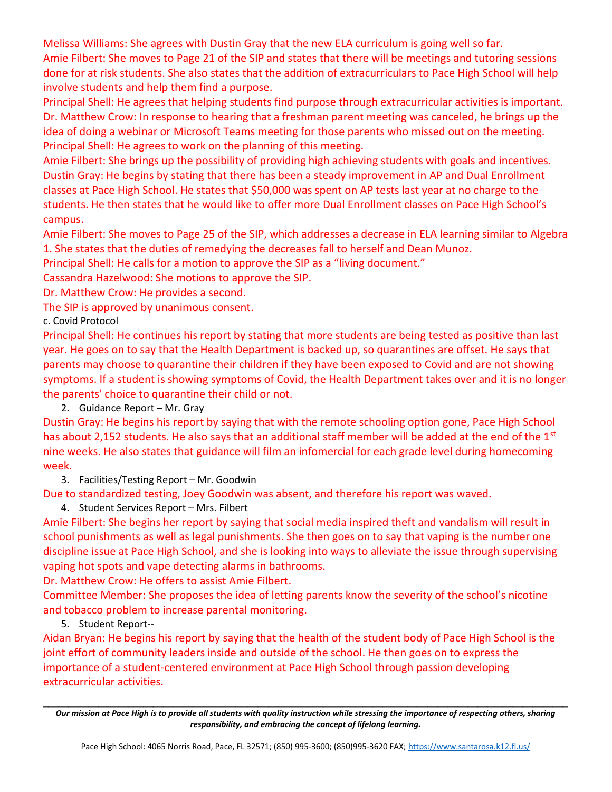Melissa Williams: She agrees with Dustin Gray that the new ELA curriculum is going well so far.

Amie Filbert: She moves to Page 21 of the SIP and states that there will be meetings and tutoring sessions done for at risk students. She also states that the addition of extracurriculars to Pace High School will help involve students and help them find a purpose.

Principal Shell: He agrees that helping students find purpose through extracurricular activities is important. Dr. Matthew Crow: In response to hearing that a freshman parent meeting was canceled, he brings up the idea of doing a webinar or Microsoft Teams meeting for those parents who missed out on the meeting. Principal Shell: He agrees to work on the planning of this meeting.

Amie Filbert: She brings up the possibility of providing high achieving students with goals and incentives. Dustin Gray: He begins by stating that there has been a steady improvement in AP and Dual Enrollment classes at Pace High School. He states that \$50,000 was spent on AP tests last year at no charge to the students. He then states that he would like to offer more Dual Enrollment classes on Pace High School's campus.

Amie Filbert: She moves to Page 25 of the SIP, which addresses a decrease in ELA learning similar to Algebra 1. She states that the duties of remedying the decreases fall to herself and Dean Munoz.

Principal Shell: He calls for a motion to approve the SIP as a "living document."

Cassandra Hazelwood: She motions to approve the SIP.

Dr. Matthew Crow: He provides a second.

The SIP is approved by unanimous consent.

c. Covid Protocol

Principal Shell: He continues his report by stating that more students are being tested as positive than last year. He goes on to say that the Health Department is backed up, so quarantines are offset. He says that parents may choose to quarantine their children if they have been exposed to Covid and are not showing symptoms. If a student is showing symptoms of Covid, the Health Department takes over and it is no longer the parents' choice to quarantine their child or not.

2. Guidance Report – Mr. Gray

Dustin Gray: He begins his report by saying that with the remote schooling option gone, Pace High School has about 2,152 students. He also says that an additional staff member will be added at the end of the 1<sup>st</sup> nine weeks. He also states that guidance will film an infomercial for each grade level during homecoming week.

3. Facilities/Testing Report – Mr. Goodwin

Due to standardized testing, Joey Goodwin was absent, and therefore his report was waved.

4. Student Services Report – Mrs. Filbert

Amie Filbert: She begins her report by saying that social media inspired theft and vandalism will result in school punishments as well as legal punishments. She then goes on to say that vaping is the number one discipline issue at Pace High School, and she is looking into ways to alleviate the issue through supervising vaping hot spots and vape detecting alarms in bathrooms.

Dr. Matthew Crow: He offers to assist Amie Filbert.

Committee Member: She proposes the idea of letting parents know the severity of the school's nicotine and tobacco problem to increase parental monitoring.

5. Student Report--

Aidan Bryan: He begins his report by saying that the health of the student body of Pace High School is the joint effort of community leaders inside and outside of the school. He then goes on to express the importance of a student-centered environment at Pace High School through passion developing extracurricular activities.

 $\mathcal{L}_\mathcal{L} = \{ \mathcal{L}_\mathcal{L} = \{ \mathcal{L}_\mathcal{L} = \{ \mathcal{L}_\mathcal{L} = \{ \mathcal{L}_\mathcal{L} = \{ \mathcal{L}_\mathcal{L} = \{ \mathcal{L}_\mathcal{L} = \{ \mathcal{L}_\mathcal{L} = \{ \mathcal{L}_\mathcal{L} = \{ \mathcal{L}_\mathcal{L} = \{ \mathcal{L}_\mathcal{L} = \{ \mathcal{L}_\mathcal{L} = \{ \mathcal{L}_\mathcal{L} = \{ \mathcal{L}_\mathcal{L} = \{ \mathcal{L}_\mathcal{$ Our mission at Pace High is to provide all students with quality instruction while stressing the importance of respecting others, sharing responsibility, and embracing the concept of lifelong learning.